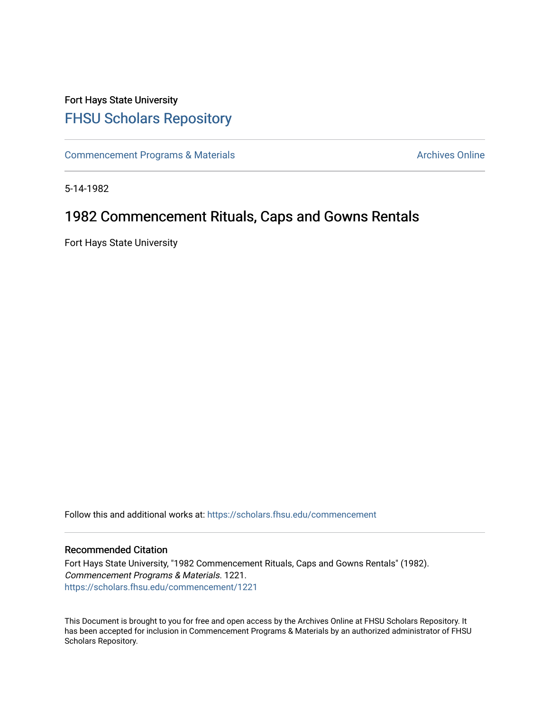## Fort Hays State University [FHSU Scholars Repository](https://scholars.fhsu.edu/)

[Commencement Programs & Materials](https://scholars.fhsu.edu/commencement) **Archives Online** Archives Online

5-14-1982

# 1982 Commencement Rituals, Caps and Gowns Rentals

Fort Hays State University

Follow this and additional works at: [https://scholars.fhsu.edu/commencement](https://scholars.fhsu.edu/commencement?utm_source=scholars.fhsu.edu%2Fcommencement%2F1221&utm_medium=PDF&utm_campaign=PDFCoverPages)

## Recommended Citation

Fort Hays State University, "1982 Commencement Rituals, Caps and Gowns Rentals" (1982). Commencement Programs & Materials. 1221. [https://scholars.fhsu.edu/commencement/1221](https://scholars.fhsu.edu/commencement/1221?utm_source=scholars.fhsu.edu%2Fcommencement%2F1221&utm_medium=PDF&utm_campaign=PDFCoverPages) 

This Document is brought to you for free and open access by the Archives Online at FHSU Scholars Repository. It has been accepted for inclusion in Commencement Programs & Materials by an authorized administrator of FHSU Scholars Repository.